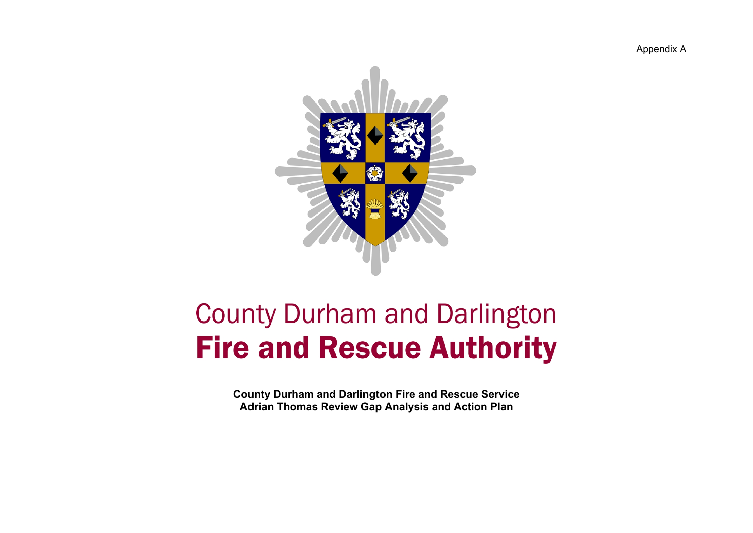Appendix A



## **County Durham and Darlington Fire and Rescue Authority**

**County Durham and Darlington Fire and Rescue Service Adrian Thomas Review Gap Analysis and Action Plan**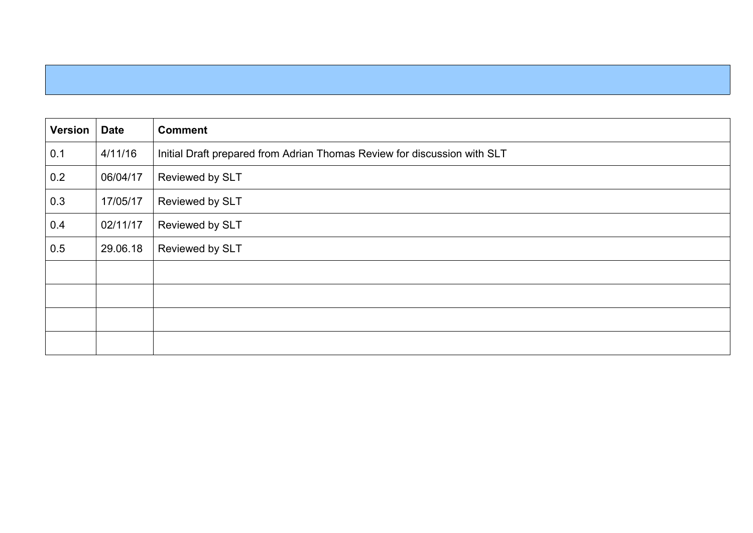| <b>Version</b> | <b>Date</b> | <b>Comment</b>                                                           |
|----------------|-------------|--------------------------------------------------------------------------|
| 0.1            | 4/11/16     | Initial Draft prepared from Adrian Thomas Review for discussion with SLT |
| 0.2            | 06/04/17    | Reviewed by SLT                                                          |
| 0.3            | 17/05/17    | Reviewed by SLT                                                          |
| 0.4            | 02/11/17    | Reviewed by SLT                                                          |
| 0.5            | 29.06.18    | Reviewed by SLT                                                          |
|                |             |                                                                          |
|                |             |                                                                          |
|                |             |                                                                          |
|                |             |                                                                          |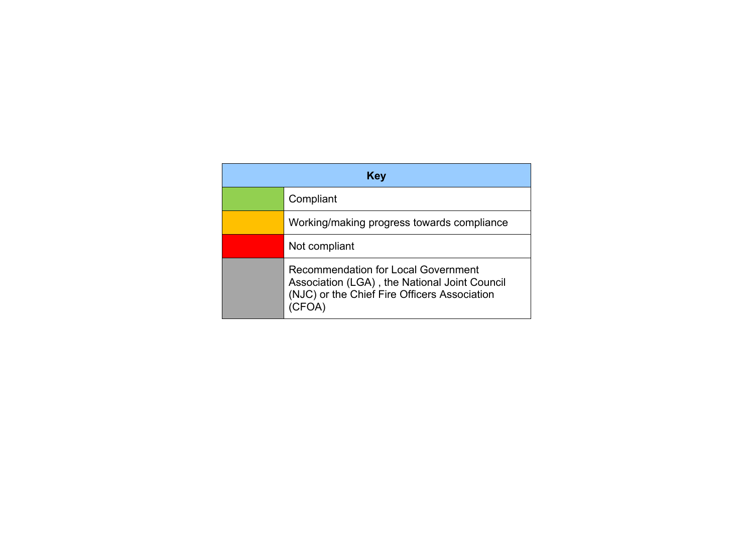| <b>Key</b> |                                                                                                                                             |  |  |  |  |  |
|------------|---------------------------------------------------------------------------------------------------------------------------------------------|--|--|--|--|--|
|            | Compliant                                                                                                                                   |  |  |  |  |  |
|            | Working/making progress towards compliance                                                                                                  |  |  |  |  |  |
|            | Not compliant                                                                                                                               |  |  |  |  |  |
|            | <b>Recommendation for Local Government</b><br>Association (LGA), the National Joint Council<br>(NJC) or the Chief Fire Officers Association |  |  |  |  |  |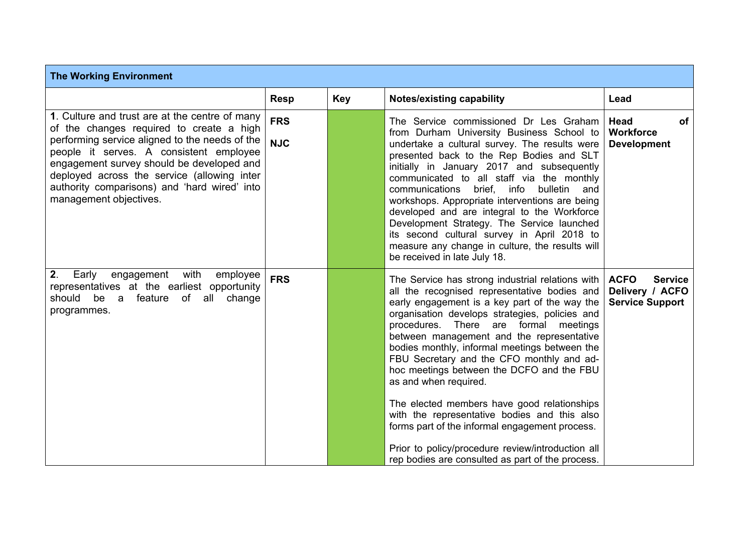| <b>The Working Environment</b>                                                                                                                                                                                                                                                                                                                                |                          |     |                                                                                                                                                                                                                                                                                                                                                                                                                                                                                                                                                                                                                                                                                                                         |                                                                            |  |
|---------------------------------------------------------------------------------------------------------------------------------------------------------------------------------------------------------------------------------------------------------------------------------------------------------------------------------------------------------------|--------------------------|-----|-------------------------------------------------------------------------------------------------------------------------------------------------------------------------------------------------------------------------------------------------------------------------------------------------------------------------------------------------------------------------------------------------------------------------------------------------------------------------------------------------------------------------------------------------------------------------------------------------------------------------------------------------------------------------------------------------------------------------|----------------------------------------------------------------------------|--|
|                                                                                                                                                                                                                                                                                                                                                               | <b>Resp</b>              | Key | <b>Notes/existing capability</b>                                                                                                                                                                                                                                                                                                                                                                                                                                                                                                                                                                                                                                                                                        | Lead                                                                       |  |
| 1. Culture and trust are at the centre of many<br>of the changes required to create a high<br>performing service aligned to the needs of the<br>people it serves. A consistent employee<br>engagement survey should be developed and<br>deployed across the service (allowing inter<br>authority comparisons) and 'hard wired' into<br>management objectives. | <b>FRS</b><br><b>NJC</b> |     | The Service commissioned Dr Les Graham<br>from Durham University Business School to<br>undertake a cultural survey. The results were<br>presented back to the Rep Bodies and SLT<br>initially in January 2017 and subsequently<br>communicated to all staff via the monthly<br>communications<br>brief, info<br>bulletin<br>and<br>workshops. Appropriate interventions are being<br>developed and are integral to the Workforce<br>Development Strategy. The Service launched<br>its second cultural survey in April 2018 to<br>measure any change in culture, the results will<br>be received in late July 18.                                                                                                        | Head<br>of<br><b>Workforce</b><br><b>Development</b>                       |  |
| 2.<br>Early<br>engagement<br>with<br>employee<br>representatives at the earliest opportunity<br>should be a feature of<br>all change<br>programmes.                                                                                                                                                                                                           | <b>FRS</b>               |     | The Service has strong industrial relations with<br>all the recognised representative bodies and<br>early engagement is a key part of the way the<br>organisation develops strategies, policies and<br>procedures. There are formal meetings<br>between management and the representative<br>bodies monthly, informal meetings between the<br>FBU Secretary and the CFO monthly and ad-<br>hoc meetings between the DCFO and the FBU<br>as and when required.<br>The elected members have good relationships<br>with the representative bodies and this also<br>forms part of the informal engagement process.<br>Prior to policy/procedure review/introduction all<br>rep bodies are consulted as part of the process. | <b>ACFO</b><br><b>Service</b><br>Delivery / ACFO<br><b>Service Support</b> |  |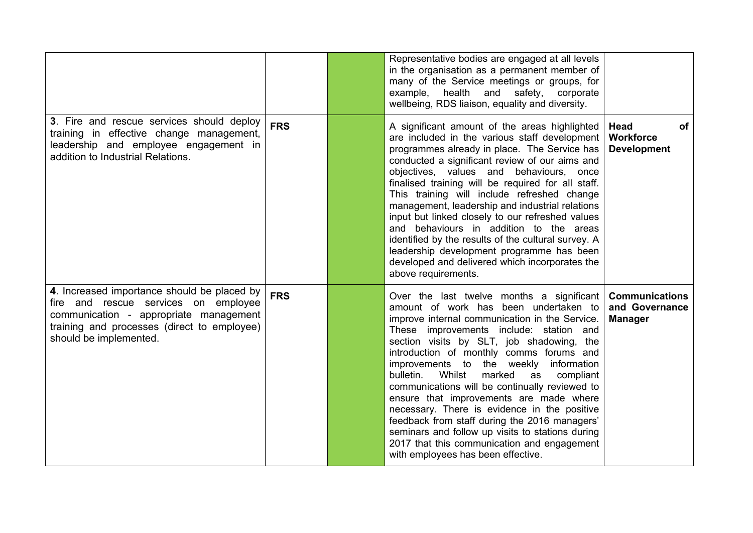|                                                                                                                                                                                                        |            | Representative bodies are engaged at all levels<br>in the organisation as a permanent member of<br>many of the Service meetings or groups, for<br>example, health and safety, corporate<br>wellbeing, RDS liaison, equality and diversity.                                                                                                                                                                                                                                                                                                                                                                                                                                                                    |                                                             |
|--------------------------------------------------------------------------------------------------------------------------------------------------------------------------------------------------------|------------|---------------------------------------------------------------------------------------------------------------------------------------------------------------------------------------------------------------------------------------------------------------------------------------------------------------------------------------------------------------------------------------------------------------------------------------------------------------------------------------------------------------------------------------------------------------------------------------------------------------------------------------------------------------------------------------------------------------|-------------------------------------------------------------|
| 3. Fire and rescue services should deploy<br>training in effective change management,<br>leadership and employee engagement in<br>addition to Industrial Relations.                                    | <b>FRS</b> | A significant amount of the areas highlighted<br>are included in the various staff development<br>programmes already in place. The Service has<br>conducted a significant review of our aims and<br>objectives, values and behaviours, once<br>finalised training will be required for all staff.<br>This training will include refreshed change<br>management, leadership and industrial relations<br>input but linked closely to our refreshed values<br>and behaviours in addition to the areas<br>identified by the results of the cultural survey. A<br>leadership development programme has been<br>developed and delivered which incorporates the<br>above requirements.                               | <b>Head</b><br>0f<br><b>Workforce</b><br><b>Development</b> |
| 4. Increased importance should be placed by<br>fire and rescue services on employee<br>communication - appropriate management<br>training and processes (direct to employee)<br>should be implemented. | <b>FRS</b> | Over the last twelve months a significant<br>amount of work has been undertaken to<br>improve internal communication in the Service.<br>These improvements include: station and<br>section visits by SLT, job shadowing, the<br>introduction of monthly comms forums and<br>improvements to the weekly information<br>Whilst<br>bulletin.<br>marked<br>compliant<br>as<br>communications will be continually reviewed to<br>ensure that improvements are made where<br>necessary. There is evidence in the positive<br>feedback from staff during the 2016 managers'<br>seminars and follow up visits to stations during<br>2017 that this communication and engagement<br>with employees has been effective. | <b>Communications</b><br>and Governance<br><b>Manager</b>   |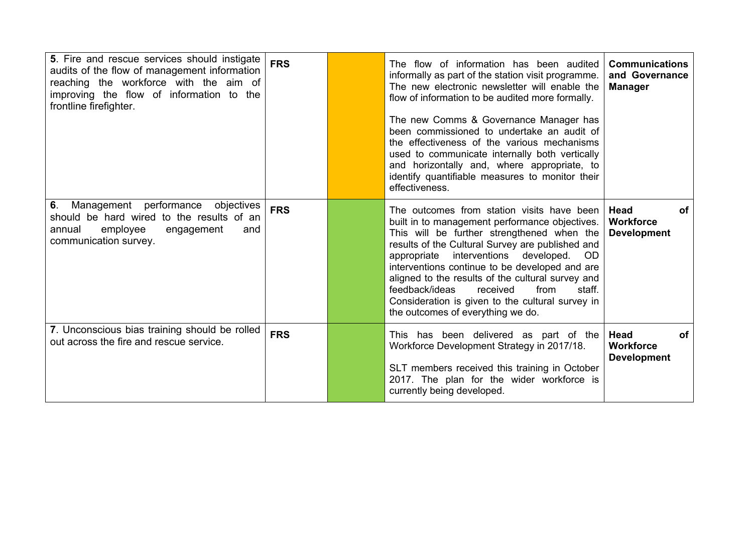| 5. Fire and rescue services should instigate<br>audits of the flow of management information<br>reaching the workforce with the aim of<br>improving the flow of information to the<br>frontline firefighter. | <b>FRS</b> | The flow of information has been audited<br>informally as part of the station visit programme.<br>The new electronic newsletter will enable the<br>flow of information to be audited more formally.<br>The new Comms & Governance Manager has<br>been commissioned to undertake an audit of<br>the effectiveness of the various mechanisms<br>used to communicate internally both vertically<br>and horizontally and, where appropriate, to<br>identify quantifiable measures to monitor their<br>effectiveness. | <b>Communications</b><br>and Governance<br><b>Manager</b>          |
|--------------------------------------------------------------------------------------------------------------------------------------------------------------------------------------------------------------|------------|------------------------------------------------------------------------------------------------------------------------------------------------------------------------------------------------------------------------------------------------------------------------------------------------------------------------------------------------------------------------------------------------------------------------------------------------------------------------------------------------------------------|--------------------------------------------------------------------|
| 6.<br>Management performance<br>objectives<br>should be hard wired to the results of an<br>employee<br>annual<br>engagement<br>and<br>communication survey.                                                  | <b>FRS</b> | The outcomes from station visits have been<br>built in to management performance objectives.<br>This will be further strengthened when the<br>results of the Cultural Survey are published and<br>appropriate interventions developed.<br><b>OD</b><br>interventions continue to be developed and are<br>aligned to the results of the cultural survey and<br>feedback/ideas<br>received<br>from<br>staff.<br>Consideration is given to the cultural survey in<br>the outcomes of everything we do.              | <b>Head</b><br>оf<br><b>Workforce</b><br><b>Development</b>        |
| 7. Unconscious bias training should be rolled<br>out across the fire and rescue service.                                                                                                                     | <b>FRS</b> | This has been delivered as part of the<br>Workforce Development Strategy in 2017/18.<br>SLT members received this training in October<br>2017. The plan for the wider workforce is<br>currently being developed.                                                                                                                                                                                                                                                                                                 | <b>Head</b><br><b>of</b><br><b>Workforce</b><br><b>Development</b> |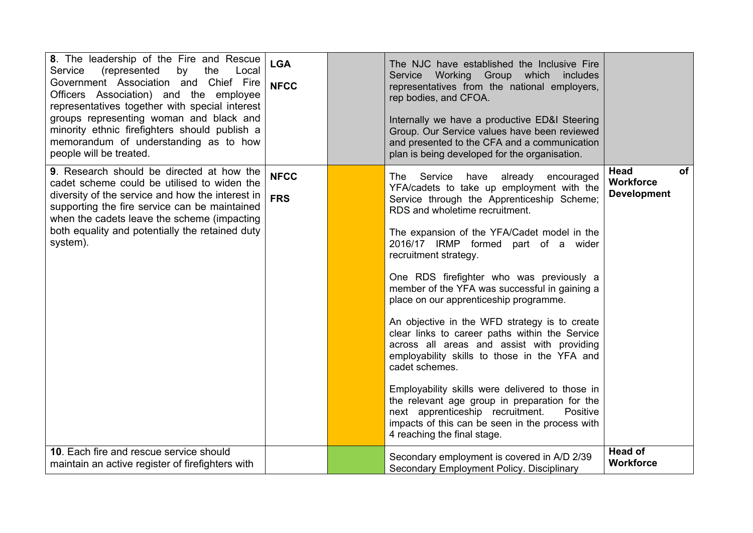| 8. The leadership of the Fire and Rescue<br>Service<br>(represented<br>by<br>the<br>Local<br>Government Association and Chief Fire<br>Officers Association) and the employee<br>representatives together with special interest<br>groups representing woman and black and<br>minority ethnic firefighters should publish a<br>memorandum of understanding as to how<br>people will be treated. | <b>LGA</b><br><b>NFCC</b> | The NJC have established the Inclusive Fire<br>Service Working Group which includes<br>representatives from the national employers,<br>rep bodies, and CFOA.<br>Internally we have a productive ED&I Steering<br>Group. Our Service values have been reviewed<br>and presented to the CFA and a communication<br>plan is being developed for the organisation.                                                                                                                                                                                                                                                                                                                                                                                                                                                                                                                        |                                                             |
|------------------------------------------------------------------------------------------------------------------------------------------------------------------------------------------------------------------------------------------------------------------------------------------------------------------------------------------------------------------------------------------------|---------------------------|---------------------------------------------------------------------------------------------------------------------------------------------------------------------------------------------------------------------------------------------------------------------------------------------------------------------------------------------------------------------------------------------------------------------------------------------------------------------------------------------------------------------------------------------------------------------------------------------------------------------------------------------------------------------------------------------------------------------------------------------------------------------------------------------------------------------------------------------------------------------------------------|-------------------------------------------------------------|
| 9. Research should be directed at how the<br>cadet scheme could be utilised to widen the<br>diversity of the service and how the interest in<br>supporting the fire service can be maintained<br>when the cadets leave the scheme (impacting<br>both equality and potentially the retained duty<br>system).                                                                                    | <b>NFCC</b><br><b>FRS</b> | The Service<br>have already<br>encouraged<br>YFA/cadets to take up employment with the<br>Service through the Apprenticeship Scheme;<br>RDS and wholetime recruitment.<br>The expansion of the YFA/Cadet model in the<br>2016/17 IRMP formed part of a wider<br>recruitment strategy.<br>One RDS firefighter who was previously a<br>member of the YFA was successful in gaining a<br>place on our apprenticeship programme.<br>An objective in the WFD strategy is to create<br>clear links to career paths within the Service<br>across all areas and assist with providing<br>employability skills to those in the YFA and<br>cadet schemes.<br>Employability skills were delivered to those in<br>the relevant age group in preparation for the<br>next apprenticeship recruitment.<br>Positive<br>impacts of this can be seen in the process with<br>4 reaching the final stage. | Head<br><b>of</b><br><b>Workforce</b><br><b>Development</b> |
| 10. Each fire and rescue service should<br>maintain an active register of firefighters with                                                                                                                                                                                                                                                                                                    |                           | Secondary employment is covered in A/D 2/39<br>Secondary Employment Policy. Disciplinary                                                                                                                                                                                                                                                                                                                                                                                                                                                                                                                                                                                                                                                                                                                                                                                              | <b>Head of</b><br><b>Workforce</b>                          |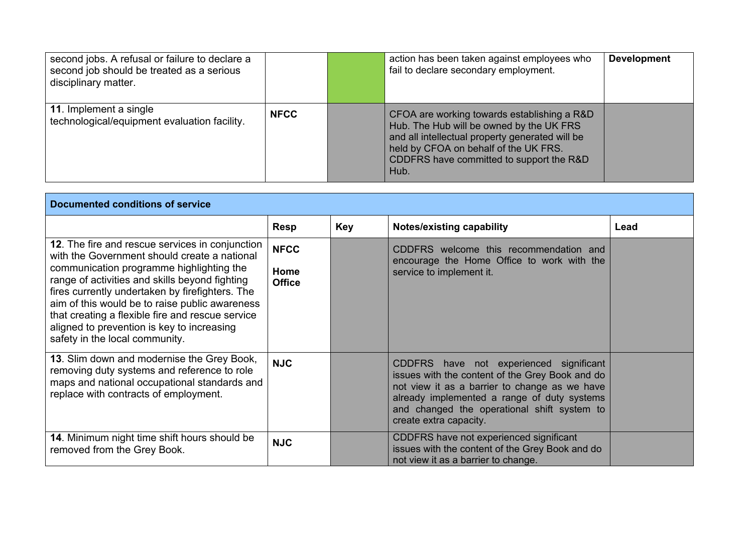| second jobs. A refusal or failure to declare a<br>second job should be treated as a serious<br>disciplinary matter. |             | action has been taken against employees who<br>fail to declare secondary employment.                                                                                                                                                    | <b>Development</b> |
|---------------------------------------------------------------------------------------------------------------------|-------------|-----------------------------------------------------------------------------------------------------------------------------------------------------------------------------------------------------------------------------------------|--------------------|
| <b>11.</b> Implement a single<br>technological/equipment evaluation facility.                                       | <b>NFCC</b> | CFOA are working towards establishing a R&D<br>Hub. The Hub will be owned by the UK FRS<br>and all intellectual property generated will be<br>held by CFOA on behalf of the UK FRS.<br>CDDFRS have committed to support the R&D<br>Hub. |                    |

| <b>Documented conditions of service</b>                                                                                                                                                                                                                                                                                                                                                                                                |                                      |            |                                                                                                                                                                                                                                                                     |      |  |
|----------------------------------------------------------------------------------------------------------------------------------------------------------------------------------------------------------------------------------------------------------------------------------------------------------------------------------------------------------------------------------------------------------------------------------------|--------------------------------------|------------|---------------------------------------------------------------------------------------------------------------------------------------------------------------------------------------------------------------------------------------------------------------------|------|--|
|                                                                                                                                                                                                                                                                                                                                                                                                                                        | <b>Resp</b>                          | <b>Key</b> | <b>Notes/existing capability</b>                                                                                                                                                                                                                                    | Lead |  |
| 12. The fire and rescue services in conjunction<br>with the Government should create a national<br>communication programme highlighting the<br>range of activities and skills beyond fighting<br>fires currently undertaken by firefighters. The<br>aim of this would be to raise public awareness<br>that creating a flexible fire and rescue service<br>aligned to prevention is key to increasing<br>safety in the local community. | <b>NFCC</b><br>Home<br><b>Office</b> |            | CDDFRS welcome this recommendation and<br>encourage the Home Office to work with the<br>service to implement it.                                                                                                                                                    |      |  |
| 13. Slim down and modernise the Grey Book,<br>removing duty systems and reference to role<br>maps and national occupational standards and<br>replace with contracts of employment.                                                                                                                                                                                                                                                     | <b>NJC</b>                           |            | CDDFRS have not experienced significant<br>issues with the content of the Grey Book and do<br>not view it as a barrier to change as we have<br>already implemented a range of duty systems<br>and changed the operational shift system to<br>create extra capacity. |      |  |
| 14. Minimum night time shift hours should be<br>removed from the Grey Book.                                                                                                                                                                                                                                                                                                                                                            | <b>NJC</b>                           |            | CDDFRS have not experienced significant<br>issues with the content of the Grey Book and do<br>not view it as a barrier to change.                                                                                                                                   |      |  |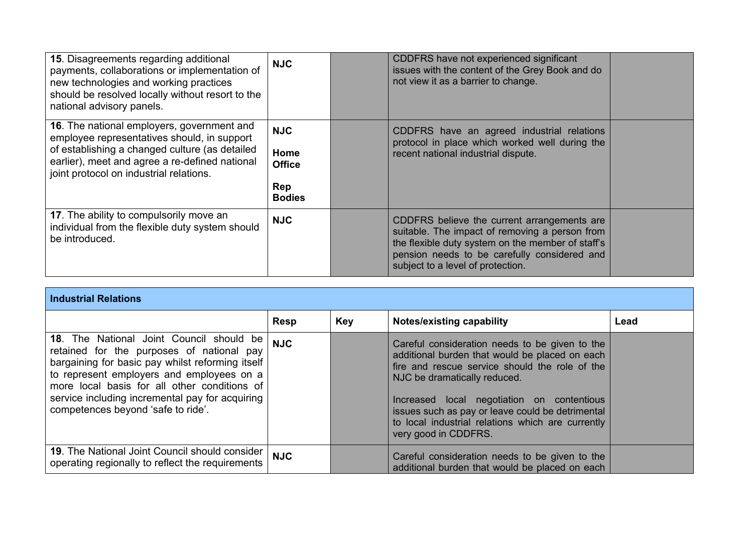| 15. Disagreements regarding additional<br>payments, collaborations or implementation of<br>new technologies and working practices<br>should be resolved locally without resort to the<br>national advisory panels.                              | <b>NJC</b>                                                  | CDDFRS have not experienced significant<br>issues with the content of the Grey Book and do<br>not view it as a barrier to change.                                                                                                       |  |
|-------------------------------------------------------------------------------------------------------------------------------------------------------------------------------------------------------------------------------------------------|-------------------------------------------------------------|-----------------------------------------------------------------------------------------------------------------------------------------------------------------------------------------------------------------------------------------|--|
| <b>16.</b> The national employers, government and<br>employee representatives should, in support<br>of establishing a changed culture (as detailed<br>earlier), meet and agree a re-defined national<br>joint protocol on industrial relations. | <b>NJC</b><br>Home<br><b>Office</b><br>Rep<br><b>Bodies</b> | CDDFRS have an agreed industrial relations<br>protocol in place which worked well during the<br>recent national industrial dispute.                                                                                                     |  |
| 17. The ability to compulsorily move an<br>individual from the flexible duty system should<br>be introduced.                                                                                                                                    | <b>NJC</b>                                                  | CDDFRS believe the current arrangements are<br>suitable. The impact of removing a person from<br>the flexible duty system on the member of staff's<br>pension needs to be carefully considered and<br>subject to a level of protection. |  |

| <b>Industrial Relations</b>                                                                                                                                                                                                                                                                                                     |             |            |                                                                                                                                                                                                                                                                                                                                                                   |      |  |  |
|---------------------------------------------------------------------------------------------------------------------------------------------------------------------------------------------------------------------------------------------------------------------------------------------------------------------------------|-------------|------------|-------------------------------------------------------------------------------------------------------------------------------------------------------------------------------------------------------------------------------------------------------------------------------------------------------------------------------------------------------------------|------|--|--|
|                                                                                                                                                                                                                                                                                                                                 | <b>Resp</b> | <b>Key</b> | <b>Notes/existing capability</b>                                                                                                                                                                                                                                                                                                                                  | Lead |  |  |
| 18. The National Joint Council should be<br>retained for the purposes of national pay<br>bargaining for basic pay whilst reforming itself<br>to represent employers and employees on a<br>more local basis for all other conditions of<br>service including incremental pay for acquiring<br>competences beyond 'safe to ride'. | <b>NJC</b>  |            | Careful consideration needs to be given to the<br>additional burden that would be placed on each<br>fire and rescue service should the role of the<br>NJC be dramatically reduced.<br>Increased local negotiation on contentious<br>issues such as pay or leave could be detrimental<br>to local industrial relations which are currently<br>very good in CDDFRS. |      |  |  |
| <b>19. The National Joint Council should consider</b><br>operating regionally to reflect the requirements                                                                                                                                                                                                                       | <b>NJC</b>  |            | Careful consideration needs to be given to the<br>additional burden that would be placed on each                                                                                                                                                                                                                                                                  |      |  |  |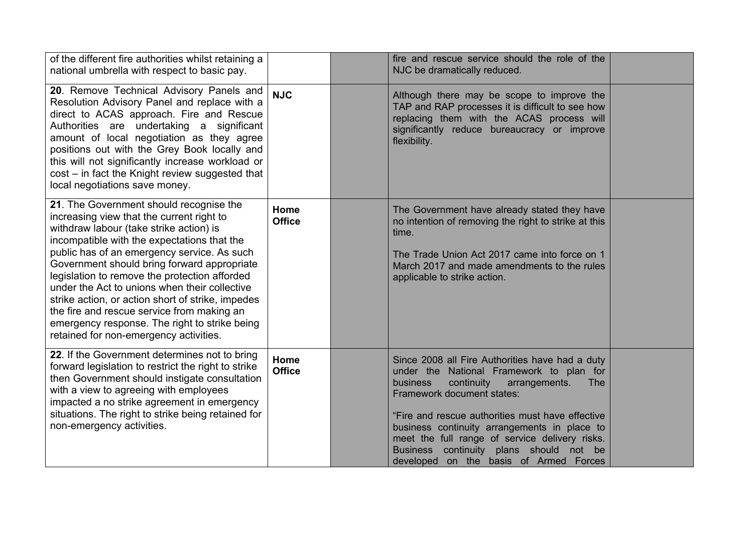| of the different fire authorities whilst retaining a<br>national umbrella with respect to basic pay.                                                                                                                                                                                                                                                                                                                                                                                                                                                                         |                       | fire and rescue service should the role of the<br>NJC be dramatically reduced.                                                                                                                                                                                                                                                                                                                                                |  |
|------------------------------------------------------------------------------------------------------------------------------------------------------------------------------------------------------------------------------------------------------------------------------------------------------------------------------------------------------------------------------------------------------------------------------------------------------------------------------------------------------------------------------------------------------------------------------|-----------------------|-------------------------------------------------------------------------------------------------------------------------------------------------------------------------------------------------------------------------------------------------------------------------------------------------------------------------------------------------------------------------------------------------------------------------------|--|
| 20. Remove Technical Advisory Panels and<br>Resolution Advisory Panel and replace with a<br>direct to ACAS approach. Fire and Rescue<br>Authorities are undertaking a significant<br>amount of local negotiation as they agree<br>positions out with the Grey Book locally and<br>this will not significantly increase workload or<br>cost - in fact the Knight review suggested that<br>local negotiations save money.                                                                                                                                                      | <b>NJC</b>            | Although there may be scope to improve the<br>TAP and RAP processes it is difficult to see how<br>replacing them with the ACAS process will<br>significantly reduce bureaucracy or improve<br>flexibility.                                                                                                                                                                                                                    |  |
| 21. The Government should recognise the<br>increasing view that the current right to<br>withdraw labour (take strike action) is<br>incompatible with the expectations that the<br>public has of an emergency service. As such<br>Government should bring forward appropriate<br>legislation to remove the protection afforded<br>under the Act to unions when their collective<br>strike action, or action short of strike, impedes<br>the fire and rescue service from making an<br>emergency response. The right to strike being<br>retained for non-emergency activities. | Home<br><b>Office</b> | The Government have already stated they have<br>no intention of removing the right to strike at this<br>time.<br>The Trade Union Act 2017 came into force on 1<br>March 2017 and made amendments to the rules<br>applicable to strike action.                                                                                                                                                                                 |  |
| 22. If the Government determines not to bring<br>forward legislation to restrict the right to strike<br>then Government should instigate consultation<br>with a view to agreeing with employees<br>impacted a no strike agreement in emergency<br>situations. The right to strike being retained for<br>non-emergency activities.                                                                                                                                                                                                                                            | Home<br><b>Office</b> | Since 2008 all Fire Authorities have had a duty<br>under the National Framework to plan for<br>continuity<br>business<br>arrangements.<br><b>The</b><br>Framework document states:<br>"Fire and rescue authorities must have effective<br>business continuity arrangements in place to<br>meet the full range of service delivery risks.<br>Business continuity plans should not be<br>developed on the basis of Armed Forces |  |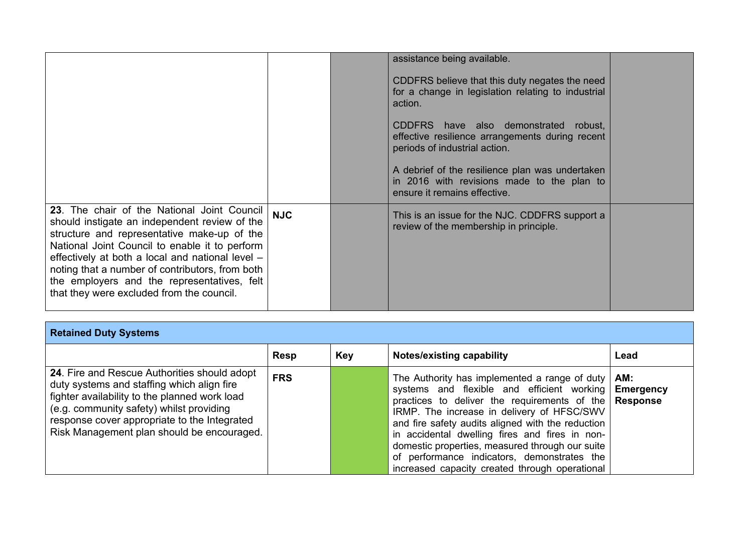|                                                                                                                                                                                                                                                                                                                                                                                                  |            | assistance being available.                                                                                                                                                                                                                                                                                                                                                   |  |
|--------------------------------------------------------------------------------------------------------------------------------------------------------------------------------------------------------------------------------------------------------------------------------------------------------------------------------------------------------------------------------------------------|------------|-------------------------------------------------------------------------------------------------------------------------------------------------------------------------------------------------------------------------------------------------------------------------------------------------------------------------------------------------------------------------------|--|
|                                                                                                                                                                                                                                                                                                                                                                                                  |            | CDDFRS believe that this duty negates the need<br>for a change in legislation relating to industrial<br>action.<br>CDDFRS have also demonstrated robust,<br>effective resilience arrangements during recent<br>periods of industrial action.<br>A debrief of the resilience plan was undertaken<br>in 2016 with revisions made to the plan to<br>ensure it remains effective. |  |
| 23. The chair of the National Joint Council<br>should instigate an independent review of the<br>structure and representative make-up of the<br>National Joint Council to enable it to perform<br>effectively at both a local and national level -<br>noting that a number of contributors, from both<br>the employers and the representatives, felt<br>that they were excluded from the council. | <b>NJC</b> | This is an issue for the NJC. CDDFRS support a<br>review of the membership in principle.                                                                                                                                                                                                                                                                                      |  |

| <b>Retained Duty Systems</b>                                                                                                                                                                                                                                                          |             |            |                                                                                                                                                                                                                                                                                                                                                                                                                                                                          |                  |  |
|---------------------------------------------------------------------------------------------------------------------------------------------------------------------------------------------------------------------------------------------------------------------------------------|-------------|------------|--------------------------------------------------------------------------------------------------------------------------------------------------------------------------------------------------------------------------------------------------------------------------------------------------------------------------------------------------------------------------------------------------------------------------------------------------------------------------|------------------|--|
|                                                                                                                                                                                                                                                                                       | <b>Resp</b> | <b>Key</b> | Notes/existing capability                                                                                                                                                                                                                                                                                                                                                                                                                                                | Lead             |  |
| 24. Fire and Rescue Authorities should adopt<br>duty systems and staffing which align fire<br>fighter availability to the planned work load<br>(e.g. community safety) whilst providing<br>response cover appropriate to the Integrated<br>Risk Management plan should be encouraged. | <b>FRS</b>  |            | The Authority has implemented a range of duty<br>systems and flexible and efficient working<br>practices to deliver the requirements of the $\mathsf{Response}$<br>IRMP. The increase in delivery of HFSC/SWV<br>and fire safety audits aligned with the reduction<br>in accidental dwelling fires and fires in non-<br>domestic properties, measured through our suite<br>of performance indicators, demonstrates the<br>increased capacity created through operational | AM:<br>Emergency |  |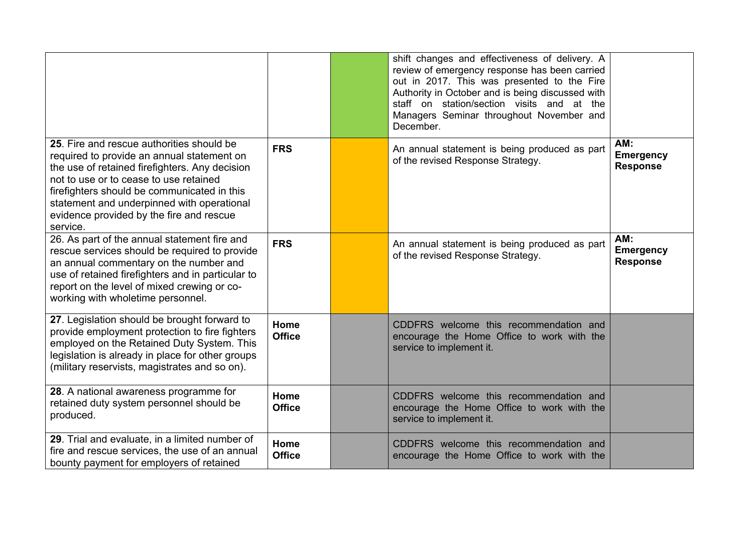|                                                                                                                                                                                                                                                                                                                                          |                       | shift changes and effectiveness of delivery. A<br>review of emergency response has been carried<br>out in 2017. This was presented to the Fire<br>Authority in October and is being discussed with<br>staff on station/section visits and at the<br>Managers Seminar throughout November and<br>December. |                                            |
|------------------------------------------------------------------------------------------------------------------------------------------------------------------------------------------------------------------------------------------------------------------------------------------------------------------------------------------|-----------------------|-----------------------------------------------------------------------------------------------------------------------------------------------------------------------------------------------------------------------------------------------------------------------------------------------------------|--------------------------------------------|
| 25. Fire and rescue authorities should be<br>required to provide an annual statement on<br>the use of retained firefighters. Any decision<br>not to use or to cease to use retained<br>firefighters should be communicated in this<br>statement and underpinned with operational<br>evidence provided by the fire and rescue<br>service. | <b>FRS</b>            | An annual statement is being produced as part<br>of the revised Response Strategy.                                                                                                                                                                                                                        | AM:<br><b>Emergency</b><br><b>Response</b> |
| 26. As part of the annual statement fire and<br>rescue services should be required to provide<br>an annual commentary on the number and<br>use of retained firefighters and in particular to<br>report on the level of mixed crewing or co-<br>working with wholetime personnel.                                                         | <b>FRS</b>            | An annual statement is being produced as part<br>of the revised Response Strategy.                                                                                                                                                                                                                        | AM:<br><b>Emergency</b><br><b>Response</b> |
| 27. Legislation should be brought forward to<br>provide employment protection to fire fighters<br>employed on the Retained Duty System. This<br>legislation is already in place for other groups<br>(military reservists, magistrates and so on).                                                                                        | Home<br><b>Office</b> | CDDFRS welcome this recommendation and<br>encourage the Home Office to work with the<br>service to implement it.                                                                                                                                                                                          |                                            |
| 28. A national awareness programme for<br>retained duty system personnel should be<br>produced.                                                                                                                                                                                                                                          | Home<br><b>Office</b> | CDDFRS welcome this recommendation and<br>encourage the Home Office to work with the<br>service to implement it.                                                                                                                                                                                          |                                            |
| 29. Trial and evaluate, in a limited number of<br>fire and rescue services, the use of an annual<br>bounty payment for employers of retained                                                                                                                                                                                             | Home<br><b>Office</b> | CDDFRS welcome this recommendation and<br>encourage the Home Office to work with the                                                                                                                                                                                                                      |                                            |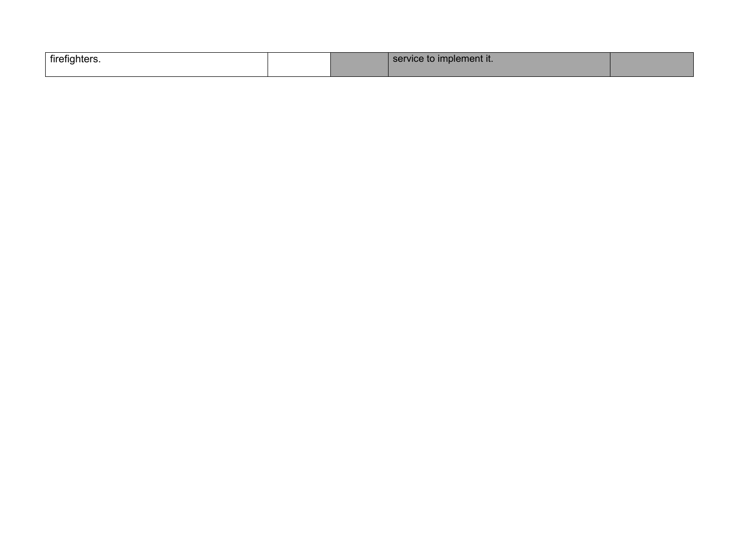| <b>firefighters</b> |  | $C$ $C$ $R$ $R$<br><b>Implement it.</b> |  |
|---------------------|--|-----------------------------------------|--|
|                     |  |                                         |  |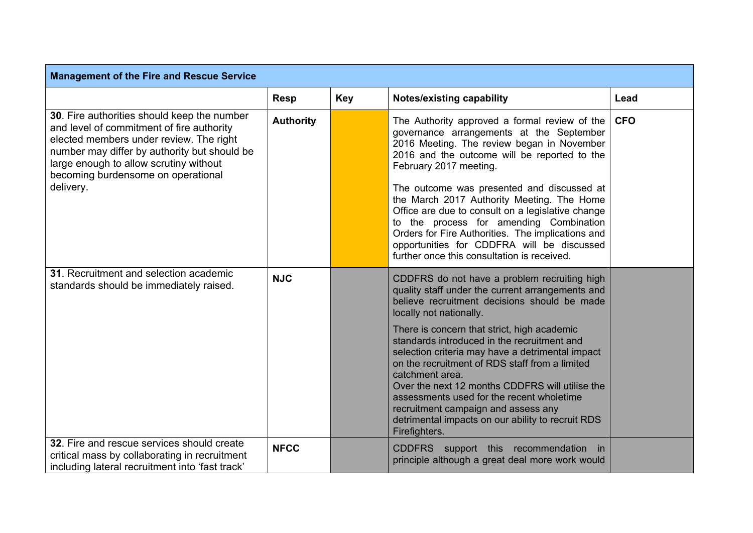| <b>Management of the Fire and Rescue Service</b>                                                                                                                                                                                                                                 |                  |            |                                                                                                                                                                                                                                                                                                                                                                                                                                                                                                                                                                                                                 |            |
|----------------------------------------------------------------------------------------------------------------------------------------------------------------------------------------------------------------------------------------------------------------------------------|------------------|------------|-----------------------------------------------------------------------------------------------------------------------------------------------------------------------------------------------------------------------------------------------------------------------------------------------------------------------------------------------------------------------------------------------------------------------------------------------------------------------------------------------------------------------------------------------------------------------------------------------------------------|------------|
|                                                                                                                                                                                                                                                                                  | <b>Resp</b>      | <b>Key</b> | <b>Notes/existing capability</b>                                                                                                                                                                                                                                                                                                                                                                                                                                                                                                                                                                                | Lead       |
| 30. Fire authorities should keep the number<br>and level of commitment of fire authority<br>elected members under review. The right<br>number may differ by authority but should be<br>large enough to allow scrutiny without<br>becoming burdensome on operational<br>delivery. | <b>Authority</b> |            | The Authority approved a formal review of the<br>governance arrangements at the September<br>2016 Meeting. The review began in November<br>2016 and the outcome will be reported to the<br>February 2017 meeting.<br>The outcome was presented and discussed at<br>the March 2017 Authority Meeting. The Home<br>Office are due to consult on a legislative change<br>to the process for amending Combination<br>Orders for Fire Authorities. The implications and<br>opportunities for CDDFRA will be discussed<br>further once this consultation is received.                                                 | <b>CFO</b> |
| 31. Recruitment and selection academic<br>standards should be immediately raised.                                                                                                                                                                                                | <b>NJC</b>       |            | CDDFRS do not have a problem recruiting high<br>quality staff under the current arrangements and<br>believe recruitment decisions should be made<br>locally not nationally.<br>There is concern that strict, high academic<br>standards introduced in the recruitment and<br>selection criteria may have a detrimental impact<br>on the recruitment of RDS staff from a limited<br>catchment area.<br>Over the next 12 months CDDFRS will utilise the<br>assessments used for the recent wholetime<br>recruitment campaign and assess any<br>detrimental impacts on our ability to recruit RDS<br>Firefighters. |            |
| 32. Fire and rescue services should create<br>critical mass by collaborating in recruitment<br>including lateral recruitment into 'fast track'                                                                                                                                   | <b>NFCC</b>      |            | CDDFRS support this recommendation in<br>principle although a great deal more work would                                                                                                                                                                                                                                                                                                                                                                                                                                                                                                                        |            |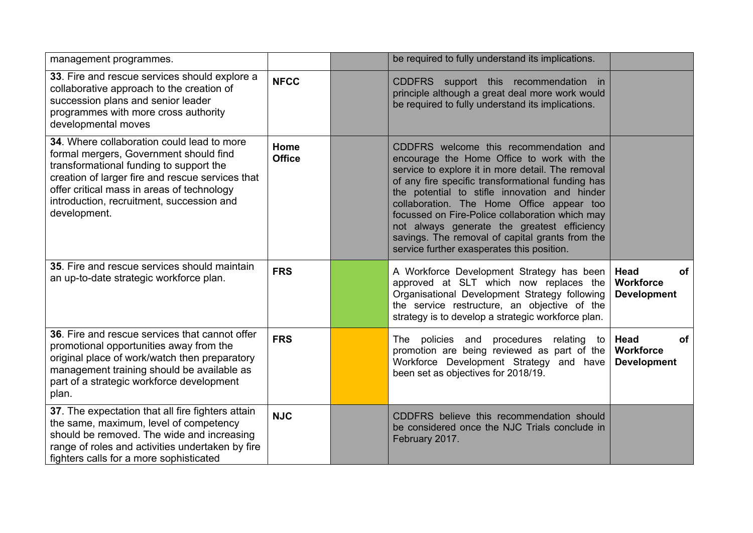| management programmes.                                                                                                                                                                                                                                                                         |                       | be required to fully understand its implications.                                                                                                                                                                                                                                                                                                                                                                                                                                               |                                                             |
|------------------------------------------------------------------------------------------------------------------------------------------------------------------------------------------------------------------------------------------------------------------------------------------------|-----------------------|-------------------------------------------------------------------------------------------------------------------------------------------------------------------------------------------------------------------------------------------------------------------------------------------------------------------------------------------------------------------------------------------------------------------------------------------------------------------------------------------------|-------------------------------------------------------------|
| 33. Fire and rescue services should explore a<br>collaborative approach to the creation of<br>succession plans and senior leader<br>programmes with more cross authority<br>developmental moves                                                                                                | <b>NFCC</b>           | CDDFRS support this recommendation in<br>principle although a great deal more work would<br>be required to fully understand its implications.                                                                                                                                                                                                                                                                                                                                                   |                                                             |
| 34. Where collaboration could lead to more<br>formal mergers, Government should find<br>transformational funding to support the<br>creation of larger fire and rescue services that<br>offer critical mass in areas of technology<br>introduction, recruitment, succession and<br>development. | Home<br><b>Office</b> | CDDFRS welcome this recommendation and<br>encourage the Home Office to work with the<br>service to explore it in more detail. The removal<br>of any fire specific transformational funding has<br>the potential to stifle innovation and hinder<br>collaboration. The Home Office appear too<br>focussed on Fire-Police collaboration which may<br>not always generate the greatest efficiency<br>savings. The removal of capital grants from the<br>service further exasperates this position. |                                                             |
| 35. Fire and rescue services should maintain<br>an up-to-date strategic workforce plan.                                                                                                                                                                                                        | <b>FRS</b>            | A Workforce Development Strategy has been<br>approved at SLT which now replaces the<br>Organisational Development Strategy following<br>the service restructure, an objective of the<br>strategy is to develop a strategic workforce plan.                                                                                                                                                                                                                                                      | <b>of</b><br>Head<br><b>Workforce</b><br><b>Development</b> |
| 36. Fire and rescue services that cannot offer<br>promotional opportunities away from the<br>original place of work/watch then preparatory<br>management training should be available as<br>part of a strategic workforce development<br>plan.                                                 | <b>FRS</b>            | The policies and<br>procedures relating to<br>promotion are being reviewed as part of the<br>Workforce Development Strategy and have<br>been set as objectives for 2018/19.                                                                                                                                                                                                                                                                                                                     | Head<br>of<br>Workforce<br><b>Development</b>               |
| 37. The expectation that all fire fighters attain<br>the same, maximum, level of competency<br>should be removed. The wide and increasing<br>range of roles and activities undertaken by fire<br>fighters calls for a more sophisticated                                                       | <b>NJC</b>            | CDDFRS believe this recommendation should<br>be considered once the NJC Trials conclude in<br>February 2017.                                                                                                                                                                                                                                                                                                                                                                                    |                                                             |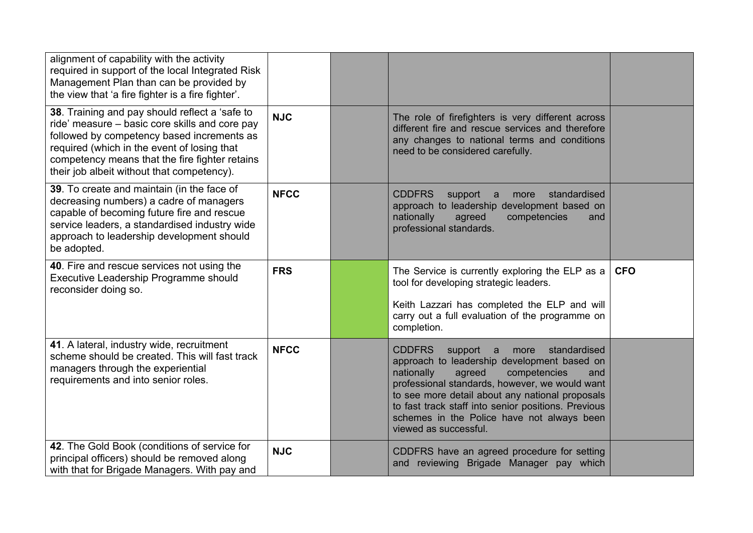| alignment of capability with the activity<br>required in support of the local Integrated Risk<br>Management Plan than can be provided by<br>the view that 'a fire fighter is a fire fighter'.                                                                                                 |             |                                                                                                                                                                                                                                                                                                                                                                                     |            |
|-----------------------------------------------------------------------------------------------------------------------------------------------------------------------------------------------------------------------------------------------------------------------------------------------|-------------|-------------------------------------------------------------------------------------------------------------------------------------------------------------------------------------------------------------------------------------------------------------------------------------------------------------------------------------------------------------------------------------|------------|
| 38. Training and pay should reflect a 'safe to<br>ride' measure – basic core skills and core pay<br>followed by competency based increments as<br>required (which in the event of losing that<br>competency means that the fire fighter retains<br>their job albeit without that competency). | <b>NJC</b>  | The role of firefighters is very different across<br>different fire and rescue services and therefore<br>any changes to national terms and conditions<br>need to be considered carefully.                                                                                                                                                                                           |            |
| 39. To create and maintain (in the face of<br>decreasing numbers) a cadre of managers<br>capable of becoming future fire and rescue<br>service leaders, a standardised industry wide<br>approach to leadership development should<br>be adopted.                                              | <b>NFCC</b> | <b>CDDFRS</b><br>standardised<br>support a<br>more<br>approach to leadership development based on<br>nationally<br>agreed<br>competencies<br>and<br>professional standards.                                                                                                                                                                                                         |            |
| 40. Fire and rescue services not using the<br>Executive Leadership Programme should<br>reconsider doing so.                                                                                                                                                                                   | <b>FRS</b>  | The Service is currently exploring the ELP as a<br>tool for developing strategic leaders.<br>Keith Lazzari has completed the ELP and will<br>carry out a full evaluation of the programme on                                                                                                                                                                                        | <b>CFO</b> |
|                                                                                                                                                                                                                                                                                               |             | completion.                                                                                                                                                                                                                                                                                                                                                                         |            |
| 41. A lateral, industry wide, recruitment<br>scheme should be created. This will fast track<br>managers through the experiential<br>requirements and into senior roles.                                                                                                                       | <b>NFCC</b> | <b>CDDFRS</b><br>standardised<br>support a<br>more<br>approach to leadership development based on<br>competencies<br>nationally<br>agreed<br>and<br>professional standards, however, we would want<br>to see more detail about any national proposals<br>to fast track staff into senior positions. Previous<br>schemes in the Police have not always been<br>viewed as successful. |            |
| 42. The Gold Book (conditions of service for<br>principal officers) should be removed along<br>with that for Brigade Managers. With pay and                                                                                                                                                   | <b>NJC</b>  | CDDFRS have an agreed procedure for setting<br>and reviewing Brigade Manager pay which                                                                                                                                                                                                                                                                                              |            |